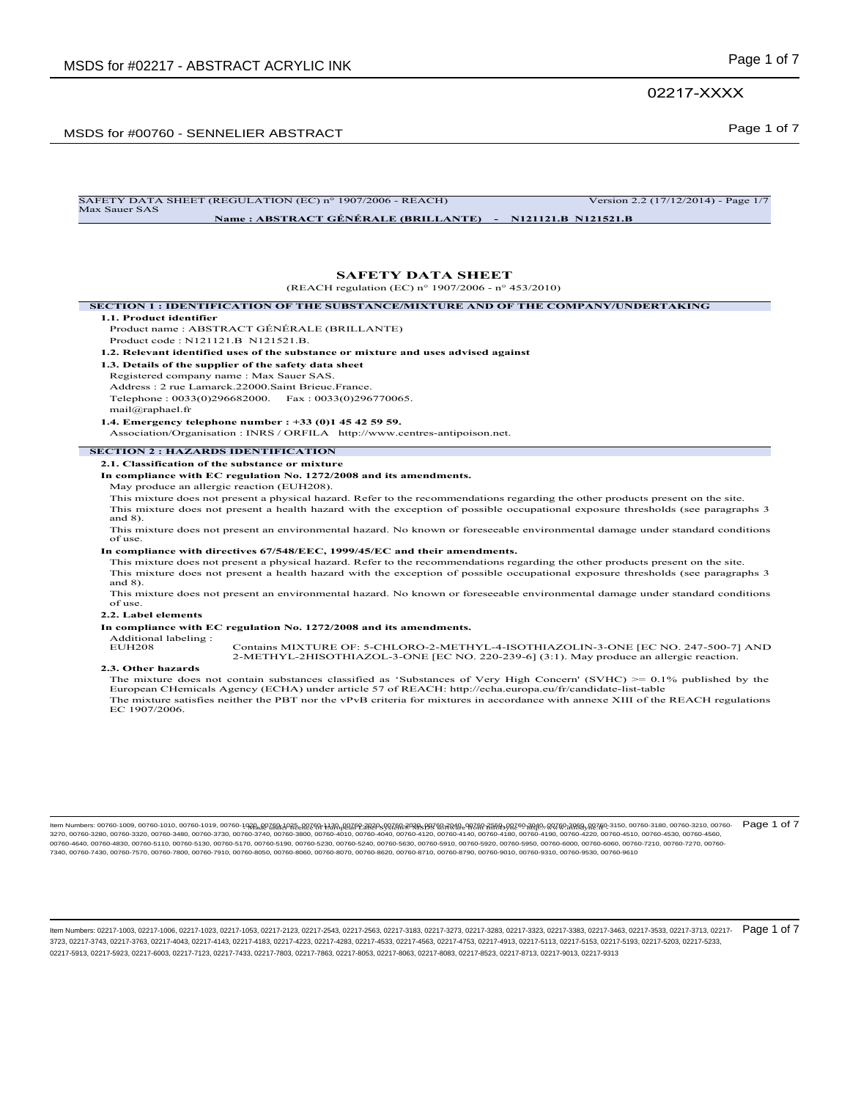### 02217-XXXX

## Page 1 of 7 MSDS for #00760 - SENNELIER ABSTRACT

| SECTION 1 : IDENTIFICATION OF THE SUBSTANCE/MIXTURE AND OF THE COMPANY/UNDERTAKING<br>1.1. Product identifier<br>Product name: ABSTRACT GÉNÉRALE (BRILLANTE)<br>Product code: N121121.B N121521.B.<br>1.2. Relevant identified uses of the substance or mixture and uses advised against<br>1.3. Details of the supplier of the safety data sheet<br>Registered company name: Max Sauer SAS.<br>Address: 2 rue Lamarck.22000.Saint Brieuc.France.<br>Telephone: 0033(0)296682000. Fax: 0033(0)296770065.<br>mail@raphael.fr<br>1.4. Emergency telephone number : +33 (0)1 45 42 59 59.<br>Association/Organisation: INRS / ORFILA http://www.centres-antipoison.net.<br><b>SECTION 2 : HAZARDS IDENTIFICATION</b><br>2.1. Classification of the substance or mixture<br>In compliance with EC regulation No. 1272/2008 and its amendments.<br>May produce an allergic reaction (EUH208).<br>This mixture does not present a physical hazard. Refer to the recommendations regarding the other products present on the site.<br>This mixture does not present a health hazard with the exception of possible occupational exposure thresholds (see paragraphs 3<br>and $8$ ).<br>This mixture does not present an environmental hazard. No known or foreseeable environmental damage under standard conditions<br>of use<br>In compliance with directives 67/548/EEC, 1999/45/EC and their amendments.<br>This mixture does not present a physical hazard. Refer to the recommendations regarding the other products present on the site.<br>This mixture does not present a health hazard with the exception of possible occupational exposure thresholds (see paragraphs 3<br>and $8$ ).<br>This mixture does not present an environmental hazard. No known or foreseeable environmental damage under standard conditions<br>of use.<br>2.2. Label elements<br>In compliance with EC regulation No. 1272/2008 and its amendments.<br>Additional labeling:<br><b>EUH208</b><br>Contains MIXTURE OF: 5-CHLORO-2-METHYL-4-ISOTHIAZOLIN-3-ONE [EC NO. 247-500-7] AND<br>2-METHYL-2HISOTHIAZOL-3-ONE [EC NO. 220-239-6] (3:1). May produce an allergic reaction.<br>2.3. Other hazards<br>The mixture does not contain substances classified as 'Substances of Very High Concern' (SVHC) $\ge 0.1\%$ published by the<br>European CHemicals Agency (ECHA) under article 57 of REACH: http://echa.europa.eu/fr/candidate-list-table<br>The mixture satisfies neither the PBT nor the vPvB criteria for mixtures in accordance with annexe XIII of the REACH regulations |               | (REACH regulation (EC) n° 1907/2006 - n° 453/2010) |
|--------------------------------------------------------------------------------------------------------------------------------------------------------------------------------------------------------------------------------------------------------------------------------------------------------------------------------------------------------------------------------------------------------------------------------------------------------------------------------------------------------------------------------------------------------------------------------------------------------------------------------------------------------------------------------------------------------------------------------------------------------------------------------------------------------------------------------------------------------------------------------------------------------------------------------------------------------------------------------------------------------------------------------------------------------------------------------------------------------------------------------------------------------------------------------------------------------------------------------------------------------------------------------------------------------------------------------------------------------------------------------------------------------------------------------------------------------------------------------------------------------------------------------------------------------------------------------------------------------------------------------------------------------------------------------------------------------------------------------------------------------------------------------------------------------------------------------------------------------------------------------------------------------------------------------------------------------------------------------------------------------------------------------------------------------------------------------------------------------------------------------------------------------------------------------------------------------------------------------------------------------------------------------------------------------------------------------------------------------------------------------------------------------------------------------------------------------------------------------------------------------------------------------------------------------------------|---------------|----------------------------------------------------|
|                                                                                                                                                                                                                                                                                                                                                                                                                                                                                                                                                                                                                                                                                                                                                                                                                                                                                                                                                                                                                                                                                                                                                                                                                                                                                                                                                                                                                                                                                                                                                                                                                                                                                                                                                                                                                                                                                                                                                                                                                                                                                                                                                                                                                                                                                                                                                                                                                                                                                                                                                                    |               |                                                    |
|                                                                                                                                                                                                                                                                                                                                                                                                                                                                                                                                                                                                                                                                                                                                                                                                                                                                                                                                                                                                                                                                                                                                                                                                                                                                                                                                                                                                                                                                                                                                                                                                                                                                                                                                                                                                                                                                                                                                                                                                                                                                                                                                                                                                                                                                                                                                                                                                                                                                                                                                                                    |               |                                                    |
|                                                                                                                                                                                                                                                                                                                                                                                                                                                                                                                                                                                                                                                                                                                                                                                                                                                                                                                                                                                                                                                                                                                                                                                                                                                                                                                                                                                                                                                                                                                                                                                                                                                                                                                                                                                                                                                                                                                                                                                                                                                                                                                                                                                                                                                                                                                                                                                                                                                                                                                                                                    |               |                                                    |
|                                                                                                                                                                                                                                                                                                                                                                                                                                                                                                                                                                                                                                                                                                                                                                                                                                                                                                                                                                                                                                                                                                                                                                                                                                                                                                                                                                                                                                                                                                                                                                                                                                                                                                                                                                                                                                                                                                                                                                                                                                                                                                                                                                                                                                                                                                                                                                                                                                                                                                                                                                    |               |                                                    |
|                                                                                                                                                                                                                                                                                                                                                                                                                                                                                                                                                                                                                                                                                                                                                                                                                                                                                                                                                                                                                                                                                                                                                                                                                                                                                                                                                                                                                                                                                                                                                                                                                                                                                                                                                                                                                                                                                                                                                                                                                                                                                                                                                                                                                                                                                                                                                                                                                                                                                                                                                                    |               |                                                    |
|                                                                                                                                                                                                                                                                                                                                                                                                                                                                                                                                                                                                                                                                                                                                                                                                                                                                                                                                                                                                                                                                                                                                                                                                                                                                                                                                                                                                                                                                                                                                                                                                                                                                                                                                                                                                                                                                                                                                                                                                                                                                                                                                                                                                                                                                                                                                                                                                                                                                                                                                                                    |               |                                                    |
|                                                                                                                                                                                                                                                                                                                                                                                                                                                                                                                                                                                                                                                                                                                                                                                                                                                                                                                                                                                                                                                                                                                                                                                                                                                                                                                                                                                                                                                                                                                                                                                                                                                                                                                                                                                                                                                                                                                                                                                                                                                                                                                                                                                                                                                                                                                                                                                                                                                                                                                                                                    |               |                                                    |
|                                                                                                                                                                                                                                                                                                                                                                                                                                                                                                                                                                                                                                                                                                                                                                                                                                                                                                                                                                                                                                                                                                                                                                                                                                                                                                                                                                                                                                                                                                                                                                                                                                                                                                                                                                                                                                                                                                                                                                                                                                                                                                                                                                                                                                                                                                                                                                                                                                                                                                                                                                    |               |                                                    |
|                                                                                                                                                                                                                                                                                                                                                                                                                                                                                                                                                                                                                                                                                                                                                                                                                                                                                                                                                                                                                                                                                                                                                                                                                                                                                                                                                                                                                                                                                                                                                                                                                                                                                                                                                                                                                                                                                                                                                                                                                                                                                                                                                                                                                                                                                                                                                                                                                                                                                                                                                                    |               |                                                    |
|                                                                                                                                                                                                                                                                                                                                                                                                                                                                                                                                                                                                                                                                                                                                                                                                                                                                                                                                                                                                                                                                                                                                                                                                                                                                                                                                                                                                                                                                                                                                                                                                                                                                                                                                                                                                                                                                                                                                                                                                                                                                                                                                                                                                                                                                                                                                                                                                                                                                                                                                                                    |               |                                                    |
|                                                                                                                                                                                                                                                                                                                                                                                                                                                                                                                                                                                                                                                                                                                                                                                                                                                                                                                                                                                                                                                                                                                                                                                                                                                                                                                                                                                                                                                                                                                                                                                                                                                                                                                                                                                                                                                                                                                                                                                                                                                                                                                                                                                                                                                                                                                                                                                                                                                                                                                                                                    |               |                                                    |
|                                                                                                                                                                                                                                                                                                                                                                                                                                                                                                                                                                                                                                                                                                                                                                                                                                                                                                                                                                                                                                                                                                                                                                                                                                                                                                                                                                                                                                                                                                                                                                                                                                                                                                                                                                                                                                                                                                                                                                                                                                                                                                                                                                                                                                                                                                                                                                                                                                                                                                                                                                    |               |                                                    |
|                                                                                                                                                                                                                                                                                                                                                                                                                                                                                                                                                                                                                                                                                                                                                                                                                                                                                                                                                                                                                                                                                                                                                                                                                                                                                                                                                                                                                                                                                                                                                                                                                                                                                                                                                                                                                                                                                                                                                                                                                                                                                                                                                                                                                                                                                                                                                                                                                                                                                                                                                                    |               |                                                    |
|                                                                                                                                                                                                                                                                                                                                                                                                                                                                                                                                                                                                                                                                                                                                                                                                                                                                                                                                                                                                                                                                                                                                                                                                                                                                                                                                                                                                                                                                                                                                                                                                                                                                                                                                                                                                                                                                                                                                                                                                                                                                                                                                                                                                                                                                                                                                                                                                                                                                                                                                                                    |               |                                                    |
|                                                                                                                                                                                                                                                                                                                                                                                                                                                                                                                                                                                                                                                                                                                                                                                                                                                                                                                                                                                                                                                                                                                                                                                                                                                                                                                                                                                                                                                                                                                                                                                                                                                                                                                                                                                                                                                                                                                                                                                                                                                                                                                                                                                                                                                                                                                                                                                                                                                                                                                                                                    |               |                                                    |
|                                                                                                                                                                                                                                                                                                                                                                                                                                                                                                                                                                                                                                                                                                                                                                                                                                                                                                                                                                                                                                                                                                                                                                                                                                                                                                                                                                                                                                                                                                                                                                                                                                                                                                                                                                                                                                                                                                                                                                                                                                                                                                                                                                                                                                                                                                                                                                                                                                                                                                                                                                    |               |                                                    |
|                                                                                                                                                                                                                                                                                                                                                                                                                                                                                                                                                                                                                                                                                                                                                                                                                                                                                                                                                                                                                                                                                                                                                                                                                                                                                                                                                                                                                                                                                                                                                                                                                                                                                                                                                                                                                                                                                                                                                                                                                                                                                                                                                                                                                                                                                                                                                                                                                                                                                                                                                                    |               |                                                    |
|                                                                                                                                                                                                                                                                                                                                                                                                                                                                                                                                                                                                                                                                                                                                                                                                                                                                                                                                                                                                                                                                                                                                                                                                                                                                                                                                                                                                                                                                                                                                                                                                                                                                                                                                                                                                                                                                                                                                                                                                                                                                                                                                                                                                                                                                                                                                                                                                                                                                                                                                                                    |               |                                                    |
|                                                                                                                                                                                                                                                                                                                                                                                                                                                                                                                                                                                                                                                                                                                                                                                                                                                                                                                                                                                                                                                                                                                                                                                                                                                                                                                                                                                                                                                                                                                                                                                                                                                                                                                                                                                                                                                                                                                                                                                                                                                                                                                                                                                                                                                                                                                                                                                                                                                                                                                                                                    |               |                                                    |
|                                                                                                                                                                                                                                                                                                                                                                                                                                                                                                                                                                                                                                                                                                                                                                                                                                                                                                                                                                                                                                                                                                                                                                                                                                                                                                                                                                                                                                                                                                                                                                                                                                                                                                                                                                                                                                                                                                                                                                                                                                                                                                                                                                                                                                                                                                                                                                                                                                                                                                                                                                    |               |                                                    |
|                                                                                                                                                                                                                                                                                                                                                                                                                                                                                                                                                                                                                                                                                                                                                                                                                                                                                                                                                                                                                                                                                                                                                                                                                                                                                                                                                                                                                                                                                                                                                                                                                                                                                                                                                                                                                                                                                                                                                                                                                                                                                                                                                                                                                                                                                                                                                                                                                                                                                                                                                                    |               |                                                    |
|                                                                                                                                                                                                                                                                                                                                                                                                                                                                                                                                                                                                                                                                                                                                                                                                                                                                                                                                                                                                                                                                                                                                                                                                                                                                                                                                                                                                                                                                                                                                                                                                                                                                                                                                                                                                                                                                                                                                                                                                                                                                                                                                                                                                                                                                                                                                                                                                                                                                                                                                                                    |               |                                                    |
|                                                                                                                                                                                                                                                                                                                                                                                                                                                                                                                                                                                                                                                                                                                                                                                                                                                                                                                                                                                                                                                                                                                                                                                                                                                                                                                                                                                                                                                                                                                                                                                                                                                                                                                                                                                                                                                                                                                                                                                                                                                                                                                                                                                                                                                                                                                                                                                                                                                                                                                                                                    |               |                                                    |
|                                                                                                                                                                                                                                                                                                                                                                                                                                                                                                                                                                                                                                                                                                                                                                                                                                                                                                                                                                                                                                                                                                                                                                                                                                                                                                                                                                                                                                                                                                                                                                                                                                                                                                                                                                                                                                                                                                                                                                                                                                                                                                                                                                                                                                                                                                                                                                                                                                                                                                                                                                    |               |                                                    |
|                                                                                                                                                                                                                                                                                                                                                                                                                                                                                                                                                                                                                                                                                                                                                                                                                                                                                                                                                                                                                                                                                                                                                                                                                                                                                                                                                                                                                                                                                                                                                                                                                                                                                                                                                                                                                                                                                                                                                                                                                                                                                                                                                                                                                                                                                                                                                                                                                                                                                                                                                                    |               |                                                    |
|                                                                                                                                                                                                                                                                                                                                                                                                                                                                                                                                                                                                                                                                                                                                                                                                                                                                                                                                                                                                                                                                                                                                                                                                                                                                                                                                                                                                                                                                                                                                                                                                                                                                                                                                                                                                                                                                                                                                                                                                                                                                                                                                                                                                                                                                                                                                                                                                                                                                                                                                                                    |               |                                                    |
|                                                                                                                                                                                                                                                                                                                                                                                                                                                                                                                                                                                                                                                                                                                                                                                                                                                                                                                                                                                                                                                                                                                                                                                                                                                                                                                                                                                                                                                                                                                                                                                                                                                                                                                                                                                                                                                                                                                                                                                                                                                                                                                                                                                                                                                                                                                                                                                                                                                                                                                                                                    |               |                                                    |
|                                                                                                                                                                                                                                                                                                                                                                                                                                                                                                                                                                                                                                                                                                                                                                                                                                                                                                                                                                                                                                                                                                                                                                                                                                                                                                                                                                                                                                                                                                                                                                                                                                                                                                                                                                                                                                                                                                                                                                                                                                                                                                                                                                                                                                                                                                                                                                                                                                                                                                                                                                    |               |                                                    |
|                                                                                                                                                                                                                                                                                                                                                                                                                                                                                                                                                                                                                                                                                                                                                                                                                                                                                                                                                                                                                                                                                                                                                                                                                                                                                                                                                                                                                                                                                                                                                                                                                                                                                                                                                                                                                                                                                                                                                                                                                                                                                                                                                                                                                                                                                                                                                                                                                                                                                                                                                                    | EC 1907/2006. |                                                    |

SAFETY DATA SHEET (REGULATION (EC) n° 1907/2006 - REACH) Version 2.2 (17/12/2014) - Page 1/7<br>Max Sauer SAS **Name : ABSTRACT GÉNÉRALE (BRILLANTE) - N121121.B N121521.B**

- Made under licence of European Label System® MSDS software from InfoDyne - http://www.infodyne.fr - Item Numbers: 00760-1009, 00760-1010, 00760-1019, 00760-1020, 00760-1025, 00760-1130, 00760-2020, 00760-2030, 00760-2040, 00760-2550, 00760-3040, 00760-3060, 00760-3150, 00760-3180, 00760-3210, 00760- 3270, 00760-3280, 00760-3320, 00760-3480, 00760-3730, 00760-3740, 00760-3800, 00760-4010, 00760-4040, 00760-4120, 00760-4140, 00760-4180, 00760-4190, 00760-4220, 00760-4510, 00760-4530, 00760-4560, Page 1 of 7 00760-4640, 00760-4830, 00760-5110, 00760-5130, 00760-5170, 00760-5190, 00760-5230, 00760-5240, 00760-5630, 00760-5910, 00760-5920, 00760-5950, 00760-6000, 00760-6060, 00760-7210, 00760-7270, 00760- 7340, 00760-7430, 00760-7570, 00760-7800, 00760-7910, 00760-8050, 00760-8060, 00760-8070, 00760-8620, 00760-8710, 00760-8790, 00760-9010, 00760-9310, 00760-9530, 00760-9610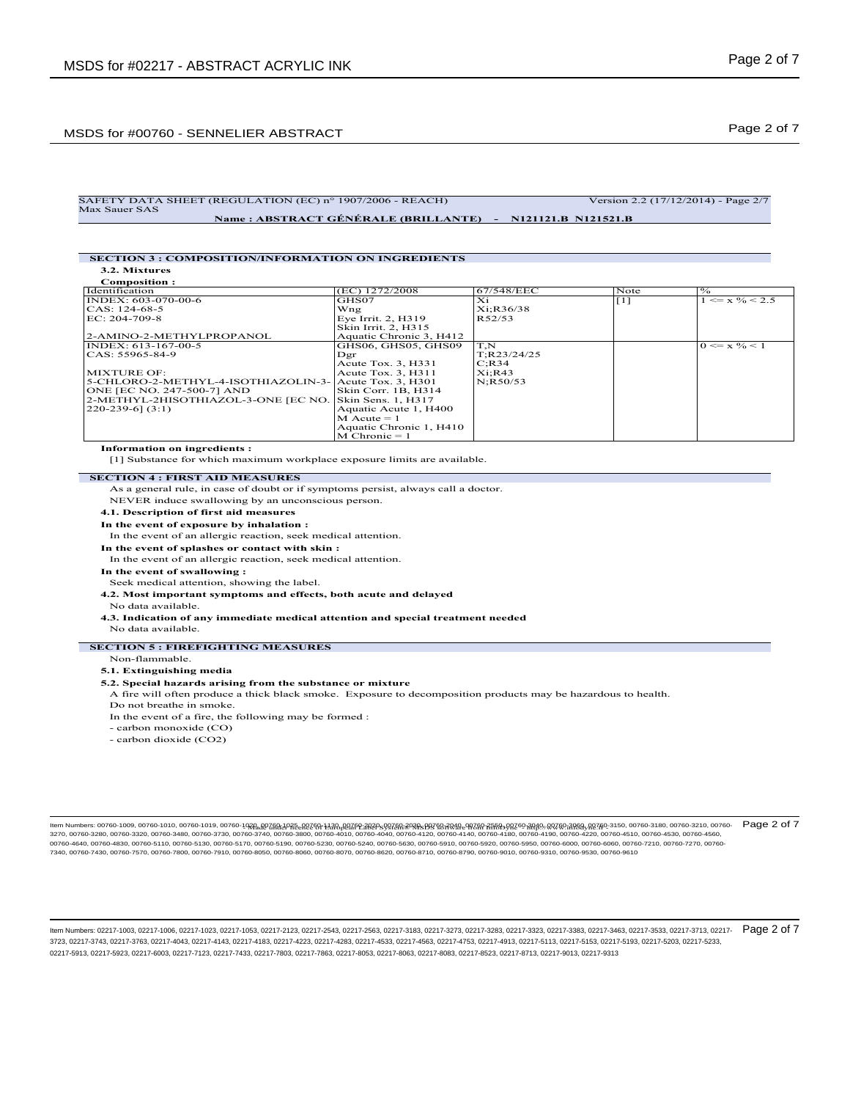## Page 2 of 7 MSDS for #00760 - SENNELIER ABSTRACT

#### SAFETY DATA SHEET (REGULATION (EC) n° 1907/2006 - REACH) Version 2.2 (17/12/2014) - Page 2/7 Max Sauer SAS **Name : ABSTRACT GÉNÉRALE (BRILLANTE) - N121121.B N121521.B**

#### **SECTION 3 : COMPOSITION/INFORMATION ON INGREDIENTS 3.2. Mixtures**

**Composition :**

| (EC) 1272/2008                                            | 67/548/EEC   | Note     | $\frac{10}{6}$            |
|-----------------------------------------------------------|--------------|----------|---------------------------|
| GHS07                                                     | Xi           | [1]      | $\leq$ x % $\leq$ 2.5     |
| Wng                                                       | Xi:R36/38    |          |                           |
| Eye Irrit. 2, H319                                        | R52/53       |          |                           |
| Skin Irrit. 2, H315                                       |              |          |                           |
| Aquatic Chronic 3. H412                                   |              |          |                           |
| GHS06, GHS05, GHS09                                       | T.N          |          | $0 \le x \frac{9}{6} < 1$ |
| Dgr                                                       | T; R23/24/25 |          |                           |
| Acute Tox. 3, H331                                        | $C:$ R34     |          |                           |
| Acute Tox. 3, H311                                        | Xi:RA3       |          |                           |
| 5-CHLORO-2-METHYL-4-ISOTHIAZOLIN-3-<br>Acute Tox. 3. H301 |              |          |                           |
| Skin Corr. 1B, H314                                       |              |          |                           |
| Skin Sens. 1, H317                                        |              |          |                           |
| Aquatic Acute 1, H400                                     |              |          |                           |
| $M$ Acute = 1                                             |              |          |                           |
| Aquatic Chronic 1, H410                                   |              |          |                           |
| $M$ Chronic = 1                                           |              |          |                           |
|                                                           |              | N:R50/53 |                           |

### **Information on ingredients :**

[1] Substance for which maximum workplace exposure limits are available.

#### **SECTION 4 : FIRST AID MEASURES**

As a general rule, in case of doubt or if symptoms persist, always call a doctor. NEVER induce swallowing by an unconscious person.

- **4.1. Description of first aid measures**
- **In the event of exposure by inhalation :**
- In the event of an allergic reaction, seek medical attention.
- **In the event of splashes or contact with skin :**
- In the event of an allergic reaction, seek medical attention.
- **In the event of swallowing :**
- Seek medical attention, showing the label.
- **4.2. Most important symptoms and effects, both acute and delayed**
- No data available.
- **4.3. Indication of any immediate medical attention and special treatment needed**
- No data available.

### **SECTION 5 : FIREFIGHTING MEASURES**

#### Non-flammable.

### **5.1. Extinguishing media**

### **5.2. Special hazards arising from the substance or mixture**

- A fire will often produce a thick black smoke. Exposure to decomposition products may be hazardous to health.
- Do not breathe in smoke.
- In the event of a fire, the following may be formed :
- carbon monoxide (CO)
- carbon dioxide (CO2)

ltem Numbers: 00760-1009, 00760-1010, 00760-1019, 00760-10<del>281,00768120260, 12380,007fP2.2020</del>-s937681<del>,20885937881,20881,20881,20881,20889,20760,318880,00760,38880,00760-3180</del>, 00760-3180, 00760-3210, 00760-3210, 00760-32 3270, 00760-3280, 00760-3320, 00760-3480, 00760-3730, 00760-3740, 00760-3800, 00760-4010, 00760-4040, 00760-4120, 00760-4140, 00760-4180, 00760-4190, 00760-4220, 00760-4510, 00760-4530, 00760-4560, 00760-4640, 00760-4830, 00760-5110, 00760-5130, 00760-5170, 00760-5190, 00760-5230, 00760-5240, 00760-5630, 00760-5910, 00760-5920, 00760-5950, 00760-6000, 00760-6060, 00760-7210, 00760-7270, 00760- 7340, 00760-7430, 00760-7570, 00760-7800, 00760-7910, 00760-8050, 00760-8060, 00760-8070, 00760-8620, 00760-8710, 00760-8790, 00760-9010, 00760-9310, 00760-9530, 00760-9610 Page 2 of 7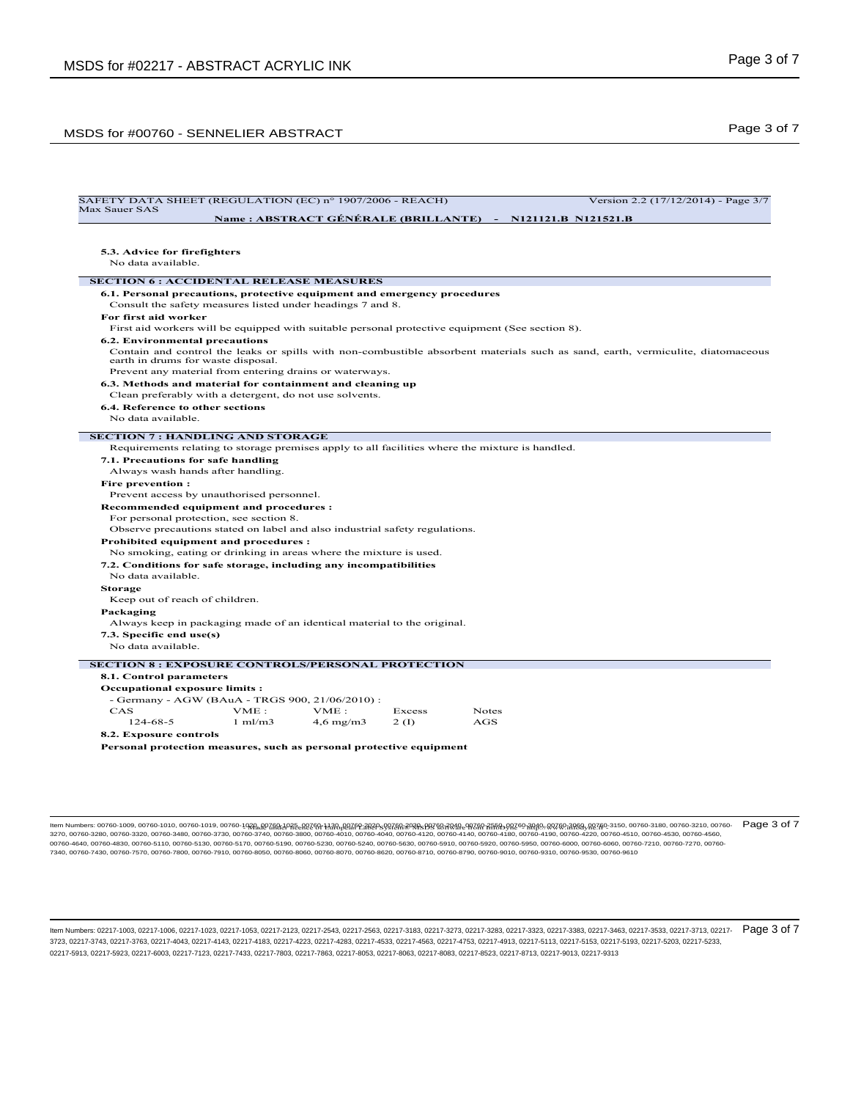# Page 3 of 7 MSDS for #00760 - SENNELIER ABSTRACT

| SAFETY DATA SHEET (REGULATION (EC) n° 1907/2006 - REACH)<br>Max Sauer SAS   |                    |                    |        | Version 2.2 (17/12/2014) - Page 3/7                                                                                             |  |
|-----------------------------------------------------------------------------|--------------------|--------------------|--------|---------------------------------------------------------------------------------------------------------------------------------|--|
|                                                                             |                    |                    |        | Name: ABSTRACT GÉNÉRALE (BRILLANTE) - N121121.B N121521.B                                                                       |  |
|                                                                             |                    |                    |        |                                                                                                                                 |  |
|                                                                             |                    |                    |        |                                                                                                                                 |  |
| 5.3. Advice for firefighters                                                |                    |                    |        |                                                                                                                                 |  |
| No data available.                                                          |                    |                    |        |                                                                                                                                 |  |
| <b>SECTION 6 : ACCIDENTAL RELEASE MEASURES</b>                              |                    |                    |        |                                                                                                                                 |  |
| 6.1. Personal precautions, protective equipment and emergency procedures    |                    |                    |        |                                                                                                                                 |  |
| Consult the safety measures listed under headings 7 and 8.                  |                    |                    |        |                                                                                                                                 |  |
| For first aid worker                                                        |                    |                    |        |                                                                                                                                 |  |
|                                                                             |                    |                    |        | First aid workers will be equipped with suitable personal protective equipment (See section 8).                                 |  |
| 6.2. Environmental precautions                                              |                    |                    |        |                                                                                                                                 |  |
|                                                                             |                    |                    |        | Contain and control the leaks or spills with non-combustible absorbent materials such as sand, earth, vermiculite, diatomaceous |  |
| earth in drums for waste disposal.                                          |                    |                    |        |                                                                                                                                 |  |
| Prevent any material from entering drains or waterways.                     |                    |                    |        |                                                                                                                                 |  |
| 6.3. Methods and material for containment and cleaning up                   |                    |                    |        |                                                                                                                                 |  |
| Clean preferably with a detergent, do not use solvents.                     |                    |                    |        |                                                                                                                                 |  |
| 6.4. Reference to other sections                                            |                    |                    |        |                                                                                                                                 |  |
| No data available                                                           |                    |                    |        |                                                                                                                                 |  |
|                                                                             |                    |                    |        |                                                                                                                                 |  |
| <b>SECTION 7: HANDLING AND STORAGE</b>                                      |                    |                    |        |                                                                                                                                 |  |
|                                                                             |                    |                    |        | Requirements relating to storage premises apply to all facilities where the mixture is handled.                                 |  |
| 7.1. Precautions for safe handling                                          |                    |                    |        |                                                                                                                                 |  |
| Always wash hands after handling.                                           |                    |                    |        |                                                                                                                                 |  |
| <b>Fire prevention:</b>                                                     |                    |                    |        |                                                                                                                                 |  |
| Prevent access by unauthorised personnel.                                   |                    |                    |        |                                                                                                                                 |  |
| Recommended equipment and procedures :                                      |                    |                    |        |                                                                                                                                 |  |
| For personal protection, see section 8.                                     |                    |                    |        |                                                                                                                                 |  |
| Observe precautions stated on label and also industrial safety regulations. |                    |                    |        |                                                                                                                                 |  |
| Prohibited equipment and procedures :                                       |                    |                    |        |                                                                                                                                 |  |
| No smoking, eating or drinking in areas where the mixture is used.          |                    |                    |        |                                                                                                                                 |  |
| 7.2. Conditions for safe storage, including any incompatibilities           |                    |                    |        |                                                                                                                                 |  |
| No data available.                                                          |                    |                    |        |                                                                                                                                 |  |
| <b>Storage</b>                                                              |                    |                    |        |                                                                                                                                 |  |
| Keep out of reach of children.                                              |                    |                    |        |                                                                                                                                 |  |
| Packaging                                                                   |                    |                    |        |                                                                                                                                 |  |
| Always keep in packaging made of an identical material to the original.     |                    |                    |        |                                                                                                                                 |  |
|                                                                             |                    |                    |        |                                                                                                                                 |  |
| 7.3. Specific end use(s)<br>No data available                               |                    |                    |        |                                                                                                                                 |  |
|                                                                             |                    |                    |        |                                                                                                                                 |  |
| <b>SECTION 8: EXPOSURE CONTROLS/PERSONAL PROTECTION</b>                     |                    |                    |        |                                                                                                                                 |  |
| 8.1. Control parameters                                                     |                    |                    |        |                                                                                                                                 |  |
| <b>Occupational exposure limits:</b>                                        |                    |                    |        |                                                                                                                                 |  |
| - Germany - AGW (BAuA - TRGS 900, 21/06/2010) :                             |                    |                    |        |                                                                                                                                 |  |
|                                                                             | VME:               | VME:               | Excess | Notes                                                                                                                           |  |
|                                                                             |                    | $4,6 \text{ mg/m}$ | 2(1)   | AGS                                                                                                                             |  |
| CAS                                                                         |                    |                    |        |                                                                                                                                 |  |
| 124-68-5<br>8.2. Exposure controls                                          | $1 \text{ ml/m}$ 3 |                    |        |                                                                                                                                 |  |

ttem Numbers: 00760-1009, 00760-1010, 00760-1019, 00760-1020, 00760-43076-1300,00,00760-40260-90260-980-00260-00260-00260-00260-00260-00260-00260-00260-00260-00260-00260-00260-00260-00260-00260-00260-00260-00260-00260-002 00760-4640, 00760-4830, 00760-5110, 00760-5130, 00760-5170, 00760-5930, 00760-5230, 00760-5630, 00760-5910, 00760-5920, 00760-5950, 00760-6950, 00760-6000, 00760-6060, 00760-7210, 00760-7210, 00760-7210, 00760-7210, 00760-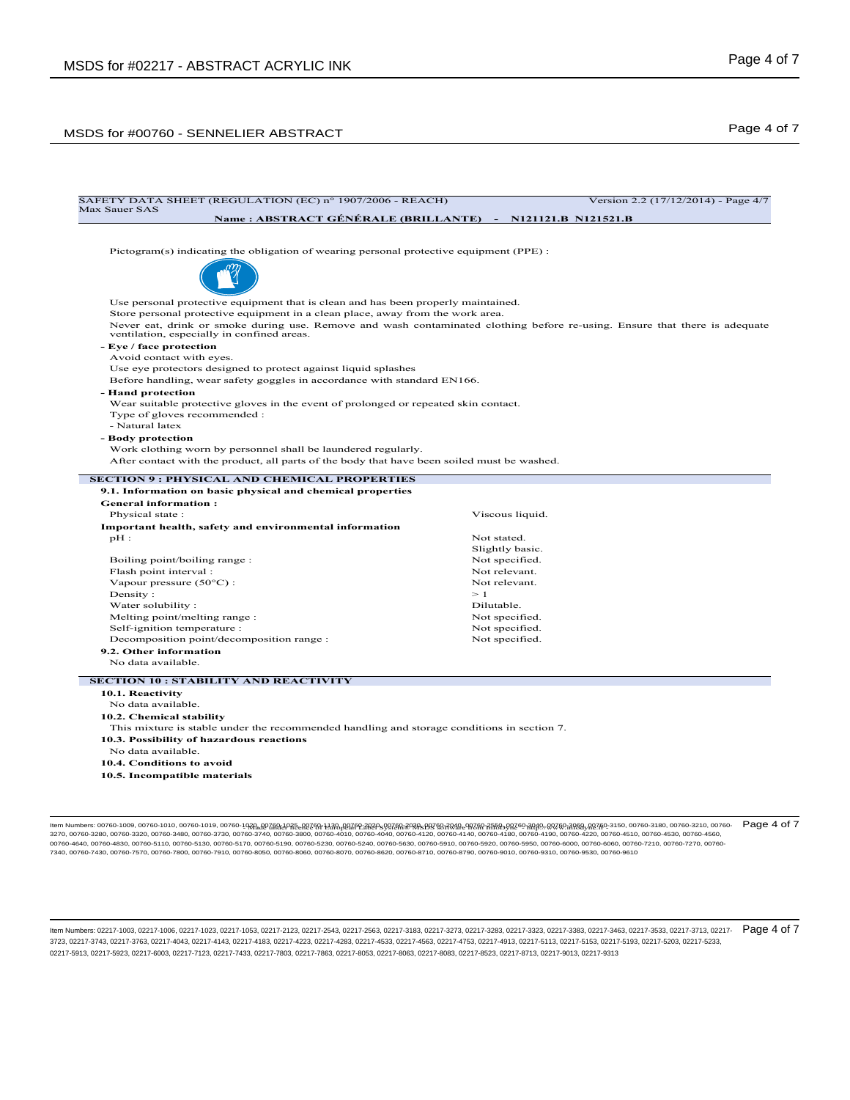# MSDS for #00760 - SENNELIER ABSTRACT MEDICINE ASSESSMENT CONTROL AND RESPONSE TO A RESPONSE THE RESPONSE OF 7

| Max Sauer SAS                                                                                                                             |                                                                                                                            |
|-------------------------------------------------------------------------------------------------------------------------------------------|----------------------------------------------------------------------------------------------------------------------------|
|                                                                                                                                           | Name: ABSTRACT GÉNÉRALE (BRILLANTE) - N121121.B N121521.B                                                                  |
| Pictogram(s) indicating the obligation of wearing personal protective equipment (PPE) :                                                   |                                                                                                                            |
|                                                                                                                                           |                                                                                                                            |
|                                                                                                                                           |                                                                                                                            |
| Use personal protective equipment that is clean and has been properly maintained.                                                         |                                                                                                                            |
| Store personal protective equipment in a clean place, away from the work area.                                                            |                                                                                                                            |
| ventilation, especially in confined areas.                                                                                                | Never eat, drink or smoke during use. Remove and wash contaminated clothing before re-using. Ensure that there is adequate |
| - Eye / face protection                                                                                                                   |                                                                                                                            |
| Avoid contact with eyes.                                                                                                                  |                                                                                                                            |
| Use eye protectors designed to protect against liquid splashes<br>Before handling, wear safety goggles in accordance with standard EN166. |                                                                                                                            |
| - Hand protection                                                                                                                         |                                                                                                                            |
| Wear suitable protective gloves in the event of prolonged or repeated skin contact.                                                       |                                                                                                                            |
| Type of gloves recommended :                                                                                                              |                                                                                                                            |
| - Natural latex                                                                                                                           |                                                                                                                            |
| - Body protection                                                                                                                         |                                                                                                                            |
| Work clothing worn by personnel shall be laundered regularly.                                                                             |                                                                                                                            |
| After contact with the product, all parts of the body that have been soiled must be washed.                                               |                                                                                                                            |
| <b>General information:</b><br>Physical state:                                                                                            | Viscous liquid.                                                                                                            |
| Important health, safety and environmental information                                                                                    |                                                                                                                            |
|                                                                                                                                           |                                                                                                                            |
|                                                                                                                                           |                                                                                                                            |
| $pH$ :                                                                                                                                    | Not stated.                                                                                                                |
|                                                                                                                                           | Slightly basic.<br>Not specified.                                                                                          |
| Boiling point/boiling range:<br>Flash point interval:                                                                                     | Not relevant.                                                                                                              |
| Vapour pressure $(50^{\circ}C)$ :                                                                                                         | Not relevant.                                                                                                              |
| Density:                                                                                                                                  | $\geq 1$                                                                                                                   |
| Water solubility:                                                                                                                         | Dilutable.                                                                                                                 |
| Melting point/melting range:                                                                                                              | Not specified.                                                                                                             |
| Self-ignition temperature :                                                                                                               | Not specified.                                                                                                             |
| Decomposition point/decomposition range :                                                                                                 | Not specified.                                                                                                             |
| 9.2. Other information                                                                                                                    |                                                                                                                            |
| No data available.                                                                                                                        |                                                                                                                            |
| <b>SECTION 10 : STABILITY AND REACTIVITY</b>                                                                                              |                                                                                                                            |
| 10.1. Reactivity                                                                                                                          |                                                                                                                            |
| No data available.                                                                                                                        |                                                                                                                            |
| 10.2. Chemical stability                                                                                                                  |                                                                                                                            |
| This mixture is stable under the recommended handling and storage conditions in section 7.                                                |                                                                                                                            |
| 10.3. Possibility of hazardous reactions                                                                                                  |                                                                                                                            |
| No data available.                                                                                                                        |                                                                                                                            |
| 10.4. Conditions to avoid<br>10.5. Incompatible materials                                                                                 |                                                                                                                            |

ttem Numbers: 00760-1009, 00760-1010, 00760-1019, 00760-1020, 00760-3120, 00760-4130, 00760-99269-2020-99269-2020-0280-2020-00260-3020-00260-3000-00260-00260-00260-00260-00260-00260-00260-00260-00260-00260-00260-00260-002 00760-4640, 00760-4830, 00760-5110, 00760-5130, 00760-5170, 00760-5930, 00760-5230, 00760-5630, 00760-5910, 00760-5920, 00760-5950, 00760-6950, 00760-6000, 00760-6060, 00760-7210, 00760-7210, 00760-7210, 00760-7210, 00760-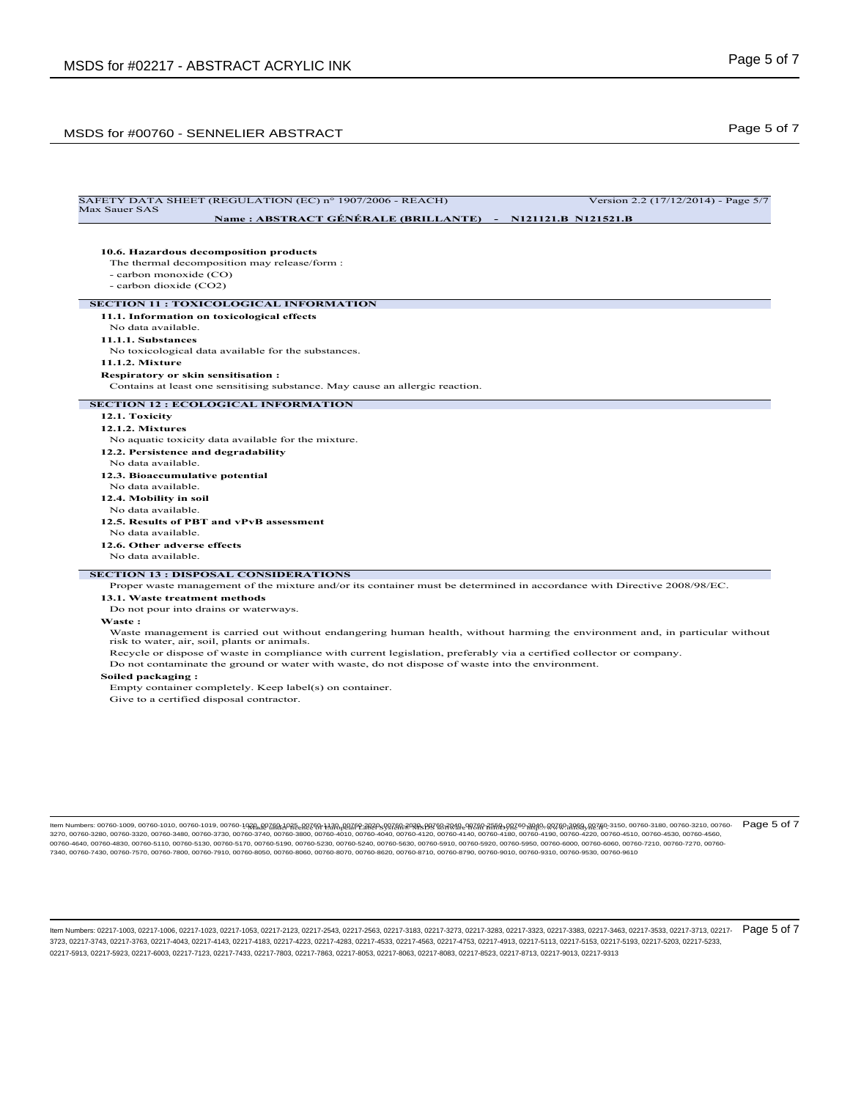## Page 5 of 7 MSDS for #00760 - SENNELIER ABSTRACT

### SAFETY DATA SHEET (REGULATION (EC) n° 1907/2006 - REACH) Version 2.2 (17/12/2014) - Page 5/7 Max Sauer SAS **Name : ABSTRACT GÉNÉRALE (BRILLANTE) - N121121.B N121521.B 10.6. Hazardous decomposition products** The thermal decomposition may release/form : - carbon monoxide (CO) - carbon dioxide (CO2) **SECTION 11 : TOXICOLOGICAL INFORMATION 11.1. Information on toxicological effects** No data available. **11.1.1. Substances** No toxicological data available for the substances. **11.1.2. Mixture Respiratory or skin sensitisation :** Contains at least one sensitising substance. May cause an allergic reaction. **SECTION 12 : ECOLOGICAL INFORMATION 12.1. Toxicity 12.1.2. Mixtures** No aquatic toxicity data available for the mixture. **12.2. Persistence and degradability** No data available. **12.3. Bioaccumulative potential** No data available. **12.4. Mobility in soil** No data available. **12.5. Results of PBT and vPvB assessment** No data available. **12.6. Other adverse effects** No data available. **SECTION 13 : DISPOSAL CONSIDERATIONS** Proper waste management of the mixture and/or its container must be determined in accordance with Directive 2008/98/EC. **13.1. Waste treatment methods** Do not pour into drains or waterways. **Waste :** Waste management is carried out without endangering human health, without harming the environment and, in particular without risk to water, air, soil, plants or animals. Recycle or dispose of waste in compliance with current legislation, preferably via a certified collector or company. Do not contaminate the ground or water with waste, do not dispose of waste into the environment. **Soiled packaging :** Empty container completely. Keep label(s) on container. Give to a certified disposal contractor.

ltem Numbers: 00760-1009, 00760-1010, 00760-1019, 00760-10<del>281,00768120260, 12380,007fP2.2020</del>-s937681<del>,20885937881,20881,20881,20881,20889,20760,318880,00760,38880,00760-3180</del>, 00760-3180, 00760-3210, 00760-3210, 00760-32 3270, 00760-3280, 00760-3320, 00760-3480, 00760-3730, 00760-3740, 00760-3800, 00760-4010, 00760-4040, 00760-4120, 00760-4140, 00760-4180, 00760-4190, 00760-4220, 00760-4510, 00760-4530, 00760-4560, 00760-4640, 00760-4830, 00760-5110, 00760-5130, 00760-5170, 00760-5190, 00760-5230, 00760-5240, 00760-5630, 00760-5910, 00760-5920, 00760-5950, 00760-6000, 00760-6060, 00760-7210, 00760-7270, 00760- 7340, 00760-7430, 00760-7570, 00760-7800, 00760-7910, 00760-8050, 00760-8060, 00760-8070, 00760-8620, 00760-8710, 00760-8790, 00760-9010, 00760-9310, 00760-9530, 00760-9610 Page 5 of 7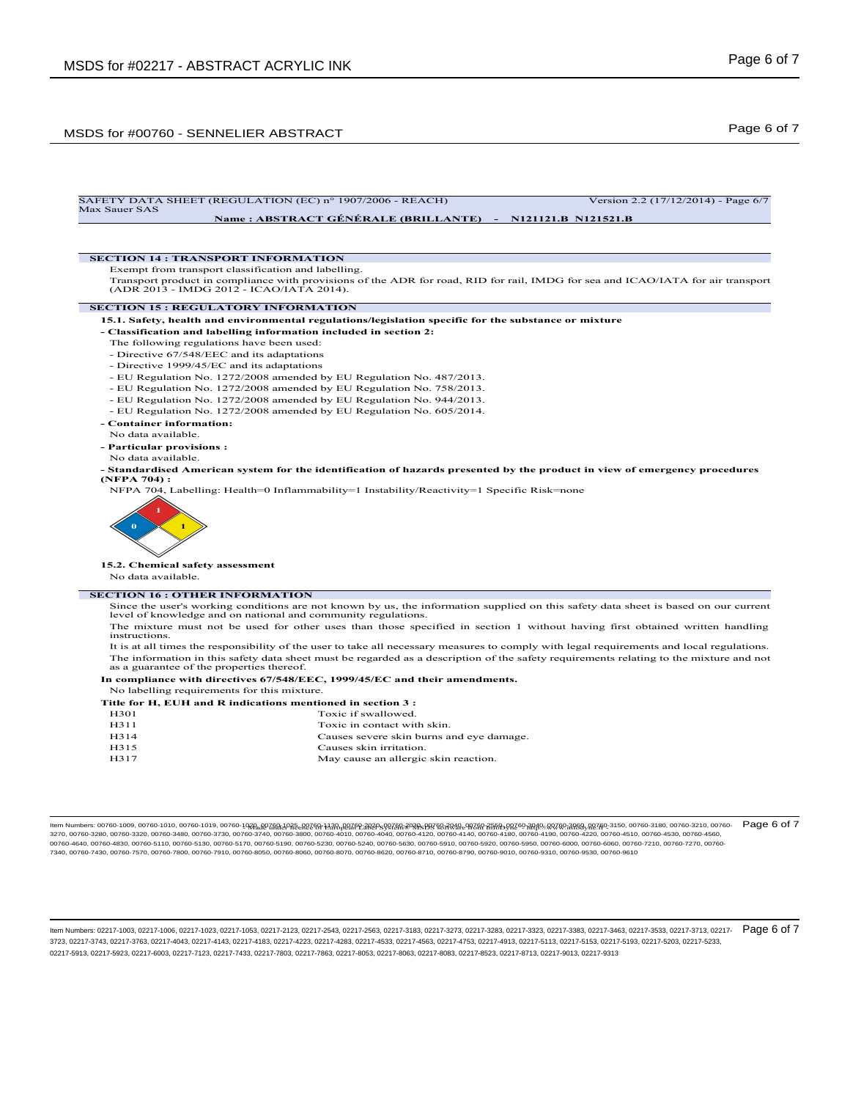## Page 6 of 7 MSDS for #00760 - SENNELIER ABSTRACT



ltem Numbers: 00760-1009, 00760-1010, 00760-1019, 00760-10<del>281,00768120260, 12380,007fP2.2020</del>-s937681<del>,20885937881,20881,20881,20881,20889,20760,318880,00760,38880,00760-3180</del>, 00760-3180, 00760-3210, 00760-3210, 00760-32 3270, 00760-3280, 00760-3320, 00760-3480, 00760-3730, 00760-3740, 00760-3800, 00760-4010, 00760-4040, 00760-4120, 00760-4140, 00760-4180, 00760-4190, 00760-4220, 00760-4510, 00760-4530, 00760-4560, 00760-4640, 00760-4830, 00760-5110, 00760-5130, 00760-5170, 00760-5190, 00760-5230, 00760-5240, 00760-5630, 00760-5910, 00760-5920, 00760-5950, 00760-6000, 00760-6060, 00760-7210, 00760-7270, 00760- 7340, 00760-7430, 00760-7570, 00760-7800, 00760-7910, 00760-8050, 00760-8060, 00760-8070, 00760-8620, 00760-8710, 00760-8790, 00760-9010, 00760-9310, 00760-9530, 00760-9610 Page 6 of 7